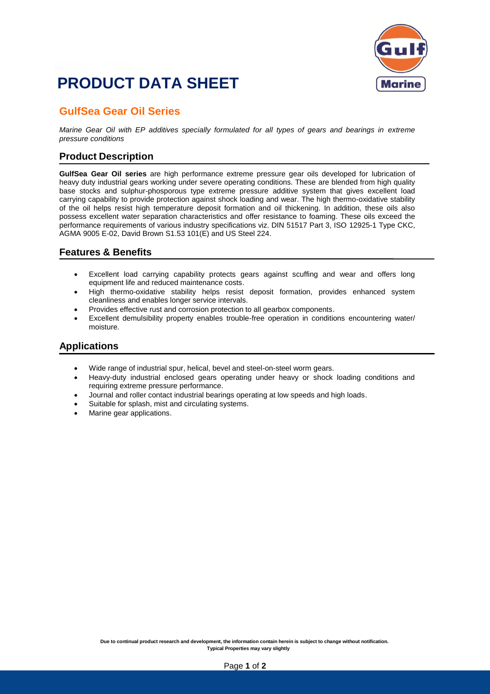## **PRODUCT DATA SHEET**



### **GulfSea Gear Oil Series**

*Marine Gear Oil with EP additives specially formulated for all types of gears and bearings in extreme pressure conditions*

#### **Product Description**

**GulfSea Gear Oil series** are high performance extreme pressure gear oils developed for lubrication of heavy duty industrial gears working under severe operating conditions. These are blended from high quality base stocks and sulphur-phosporous type extreme pressure additive system that gives excellent load carrying capability to provide protection against shock loading and wear. The high thermo-oxidative stability of the oil helps resist high temperature deposit formation and oil thickening. In addition, these oils also possess excellent water separation characteristics and offer resistance to foaming. These oils exceed the performance requirements of various industry specifications viz. DIN 51517 Part 3, ISO 12925-1 Type CKC, AGMA 9005 E-02, David Brown S1.53 101(E) and US Steel 224.

#### **Features & Benefits**

- Excellent load carrying capability protects gears against scuffing and wear and offers long equipment life and reduced maintenance costs.
- High thermo-oxidative stability helps resist deposit formation, provides enhanced system cleanliness and enables longer service intervals.
- Provides effective rust and corrosion protection to all gearbox components.
- Excellent demulsibility property enables trouble-free operation in conditions encountering water/ moisture.

#### **Applications**

- Wide range of industrial spur, helical, bevel and steel-on-steel worm gears.
- Heavy-duty industrial enclosed gears operating under heavy or shock loading conditions and requiring extreme pressure performance.
- Journal and roller contact industrial bearings operating at low speeds and high loads.
- Suitable for splash, mist and circulating systems.
- Marine gear applications.